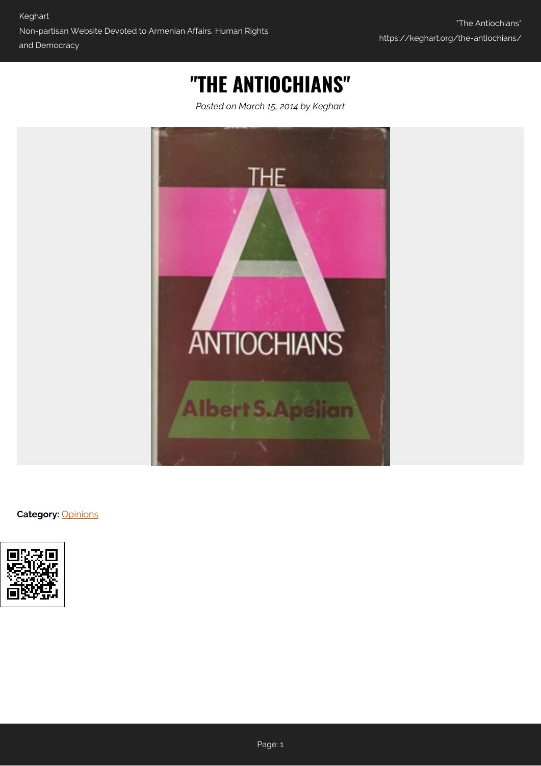## **"THE ANTIOCHIANS"**

*Posted on March 15, 2014 by Keghart*



**Category:** [Opinions](https://keghart.org/category/opinions/)

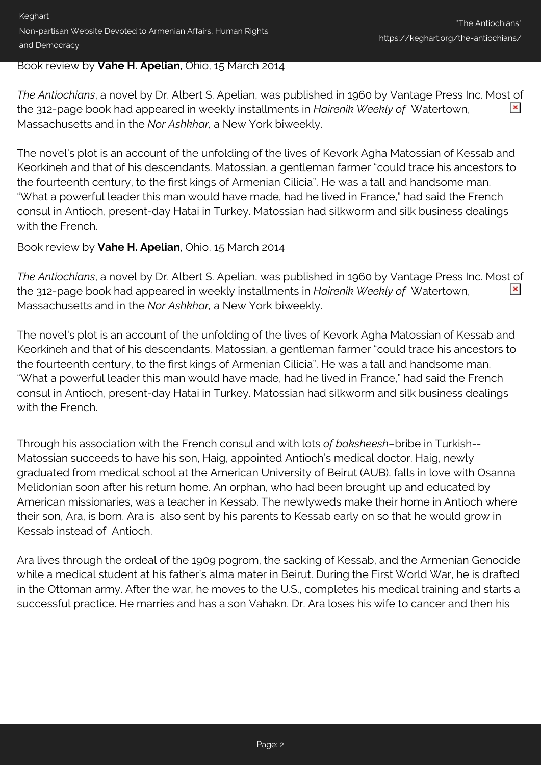Keghart Non-partisan Website Devoted to Armenian Affairs, Human Rights and Democracy

## Book review by **Vahe H. Apelian**, Ohio, 15 March 2014

*The Antiochians*, a novel by Dr. Albert S. Apelian, was published in 1960 by Vantage Press Inc. Most of  $\pmb{\times}$ the 312-page book had appeared in weekly installments in *Hairenik Weekly of* Watertown, Massachusetts and in the *Nor Ashkhar,* a New York biweekly.

The novel's plot is an account of the unfolding of the lives of Kevork Agha Matossian of Kessab and Keorkineh and that of his descendants. Matossian, a gentleman farmer "could trace his ancestors to the fourteenth century, to the first kings of Armenian Cilicia". He was a tall and handsome man. "What a powerful leader this man would have made, had he lived in France," had said the French consul in Antioch, present-day Hatai in Turkey. Matossian had silkworm and silk business dealings with the French.

## Book review by **Vahe H. Apelian**, Ohio, 15 March 2014

*The Antiochians*, a novel by Dr. Albert S. Apelian, was published in 1960 by Vantage Press Inc. Most of  $\pmb{\times}$ the 312-page book had appeared in weekly installments in *Hairenik Weekly of* Watertown, Massachusetts and in the *Nor Ashkhar,* a New York biweekly.

The novel's plot is an account of the unfolding of the lives of Kevork Agha Matossian of Kessab and Keorkineh and that of his descendants. Matossian, a gentleman farmer "could trace his ancestors to the fourteenth century, to the first kings of Armenian Cilicia". He was a tall and handsome man. "What a powerful leader this man would have made, had he lived in France," had said the French consul in Antioch, present-day Hatai in Turkey. Matossian had silkworm and silk business dealings with the French.

Through his association with the French consul and with lots *of baksheesh*–bribe in Turkish-- Matossian succeeds to have his son, Haig, appointed Antioch's medical doctor. Haig, newly graduated from medical school at the American University of Beirut (AUB), falls in love with Osanna Melidonian soon after his return home. An orphan, who had been brought up and educated by American missionaries, was a teacher in Kessab. The newlyweds make their home in Antioch where their son, Ara, is born. Ara is also sent by his parents to Kessab early on so that he would grow in Kessab instead of Antioch.

Ara lives through the ordeal of the 1909 pogrom, the sacking of Kessab, and the Armenian Genocide while a medical student at his father's alma mater in Beirut. During the First World War, he is drafted in the Ottoman army. After the war, he moves to the U.S., completes his medical training and starts a successful practice. He marries and has a son Vahakn. Dr. Ara loses his wife to cancer and then his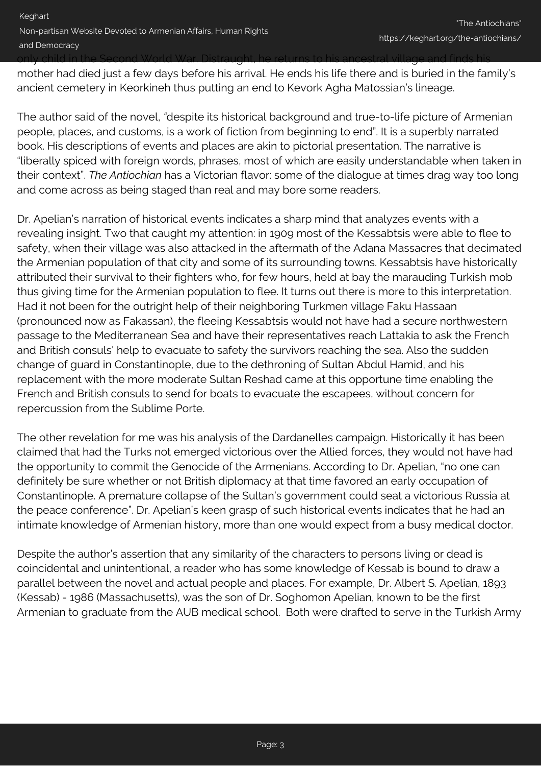only child in the Second World War. Distraught, he returns to his ancestral village and finds his

mother had died just a few days before his arrival. He ends his life there and is buried in the family's ancient cemetery in Keorkineh thus putting an end to Kevork Agha Matossian's lineage.

The author said of the novel, *"*despite its historical background and true-to-life picture of Armenian people, places, and customs, is a work of fiction from beginning to end". It is a superbly narrated book. His descriptions of events and places are akin to pictorial presentation. The narrative is "liberally spiced with foreign words, phrases, most of which are easily understandable when taken in their context". *The Antiochian* has a Victorian flavor: some of the dialogue at times drag way too long and come across as being staged than real and may bore some readers.

Dr. Apelian's narration of historical events indicates a sharp mind that analyzes events with a revealing insight. Two that caught my attention: in 1909 most of the Kessabtsis were able to flee to safety, when their village was also attacked in the aftermath of the Adana Massacres that decimated the Armenian population of that city and some of its surrounding towns. Kessabtsis have historically attributed their survival to their fighters who, for few hours, held at bay the marauding Turkish mob thus giving time for the Armenian population to flee. It turns out there is more to this interpretation. Had it not been for the outright help of their neighboring Turkmen village Faku Hassaan (pronounced now as Fakassan), the fleeing Kessabtsis would not have had a secure northwestern passage to the Mediterranean Sea and have their representatives reach Lattakia to ask the French and British consuls' help to evacuate to safety the survivors reaching the sea. Also the sudden change of guard in Constantinople, due to the dethroning of Sultan Abdul Hamid, and his replacement with the more moderate Sultan Reshad came at this opportune time enabling the French and British consuls to send for boats to evacuate the escapees, without concern for repercussion from the Sublime Porte.

The other revelation for me was his analysis of the Dardanelles campaign. Historically it has been claimed that had the Turks not emerged victorious over the Allied forces, they would not have had the opportunity to commit the Genocide of the Armenians. According to Dr. Apelian, "no one can definitely be sure whether or not British diplomacy at that time favored an early occupation of Constantinople. A premature collapse of the Sultan's government could seat a victorious Russia at the peace conference". Dr. Apelian's keen grasp of such historical events indicates that he had an intimate knowledge of Armenian history, more than one would expect from a busy medical doctor.

Despite the author's assertion that any similarity of the characters to persons living or dead is coincidental and unintentional, a reader who has some knowledge of Kessab is bound to draw a parallel between the novel and actual people and places. For example, Dr. Albert S. Apelian, 1893 (Kessab) - 1986 (Massachusetts), was the son of Dr. Soghomon Apelian, known to be the first Armenian to graduate from the AUB medical school. Both were drafted to serve in the Turkish Army